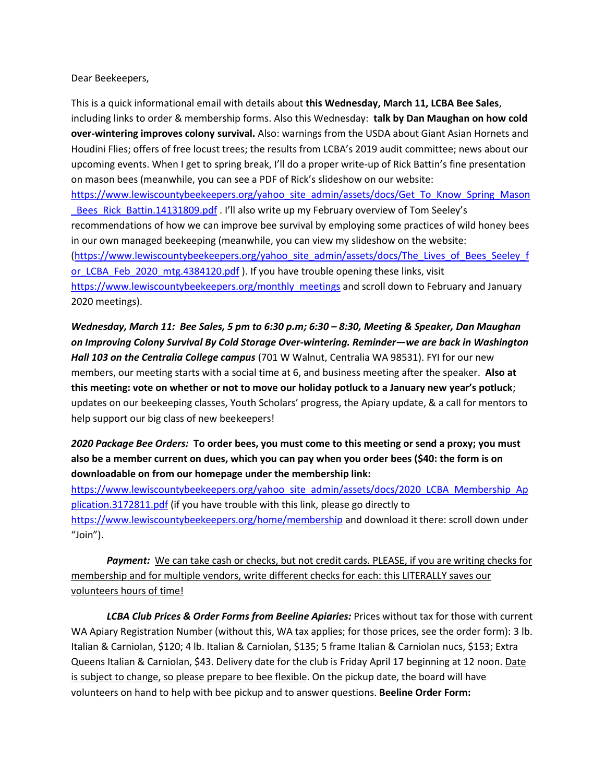## Dear Beekeepers,

This is a quick informational email with details about **this Wednesday, March 11, LCBA Bee Sales**, including links to order & membership forms. Also this Wednesday: **talk by Dan Maughan on how cold over-wintering improves colony survival.** Also: warnings from the USDA about Giant Asian Hornets and Houdini Flies; offers of free locust trees; the results from LCBA's 2019 audit committee; news about our upcoming events. When I get to spring break, I'll do a proper write-up of Rick Battin's fine presentation on mason bees (meanwhile, you can see a PDF of Rick's slideshow on our website: [https://www.lewiscountybeekeepers.org/yahoo\\_site\\_admin/assets/docs/Get\\_To\\_Know\\_Spring\\_Mason](https://www.lewiscountybeekeepers.org/yahoo_site_admin/assets/docs/Get_To_Know_Spring_Mason_Bees_Rick_Battin.14131809.pdf) Bees\_Rick\_Battin.14131809.pdf . I'll also write up my February overview of Tom Seeley's recommendations of how we can improve bee survival by employing some practices of wild honey bees in our own managed beekeeping (meanwhile, you can view my slideshow on the website: [\(https://www.lewiscountybeekeepers.org/yahoo\\_site\\_admin/assets/docs/The\\_Lives\\_of\\_Bees\\_Seeley\\_f](https://www.lewiscountybeekeepers.org/yahoo_site_admin/assets/docs/The_Lives_of_Bees_Seeley_for_LCBA_Feb_2020_mtg.4384120.pdf) [or\\_LCBA\\_Feb\\_2020\\_mtg.4384120.pdf](https://www.lewiscountybeekeepers.org/yahoo_site_admin/assets/docs/The_Lives_of_Bees_Seeley_for_LCBA_Feb_2020_mtg.4384120.pdf) ). If you have trouble opening these links, visit [https://www.lewiscountybeekeepers.org/monthly\\_meetings](https://www.lewiscountybeekeepers.org/monthly_meetings) and scroll down to February and January 2020 meetings).

*Wednesday, March 11: Bee Sales, 5 pm to 6:30 p.m; 6:30 – 8:30, Meeting & Speaker, Dan Maughan on Improving Colony Survival By Cold Storage Over-wintering. Reminder—we are back in Washington Hall 103 on the Centralia College campus* (701 W Walnut, Centralia WA 98531). FYI for our new members, our meeting starts with a social time at 6, and business meeting after the speaker. **Also at this meeting: vote on whether or not to move our holiday potluck to a January new year's potluck**; updates on our beekeeping classes, Youth Scholars' progress, the Apiary update, & a call for mentors to help support our big class of new beekeepers!

*2020 Package Bee Orders:* **To order bees, you must come to this meeting or send a proxy; you must also be a member current on dues, which you can pay when you order bees (\$40: the form is on downloadable on from our homepage under the membership link:**

[https://www.lewiscountybeekeepers.org/yahoo\\_site\\_admin/assets/docs/2020\\_LCBA\\_Membership\\_Ap](https://www.lewiscountybeekeepers.org/yahoo_site_admin/assets/docs/2020_LCBA_Membership_Application.3172811.pdf) [plication.3172811.pdf](https://www.lewiscountybeekeepers.org/yahoo_site_admin/assets/docs/2020_LCBA_Membership_Application.3172811.pdf) (if you have trouble with this link, please go directly to <https://www.lewiscountybeekeepers.org/home/membership> and download it there: scroll down under "Join").

*Payment:* We can take cash or checks, but not credit cards. PLEASE, if you are writing checks for membership and for multiple vendors, write different checks for each: this LITERALLY saves our volunteers hours of time!

*LCBA Club Prices & Order Forms from Beeline Apiaries:* Prices without tax for those with current WA Apiary Registration Number (without this, WA tax applies; for those prices, see the order form): 3 lb. Italian & Carniolan, \$120; 4 lb. Italian & Carniolan, \$135; 5 frame Italian & Carniolan nucs, \$153; Extra Queens Italian & Carniolan, \$43. Delivery date for the club is Friday April 17 beginning at 12 noon. Date is subject to change, so please prepare to bee flexible. On the pickup date, the board will have volunteers on hand to help with bee pickup and to answer questions. **Beeline Order Form:**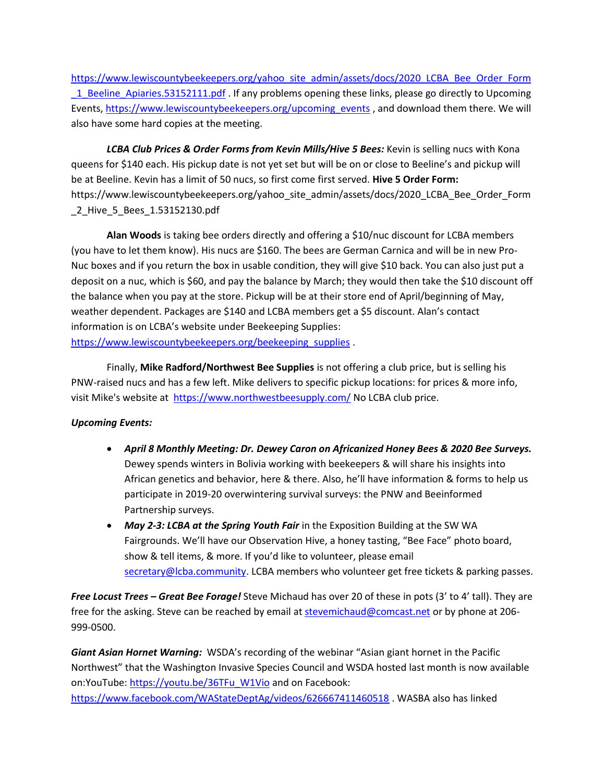[https://www.lewiscountybeekeepers.org/yahoo\\_site\\_admin/assets/docs/2020\\_LCBA\\_Bee\\_Order\\_Form](https://www.lewiscountybeekeepers.org/yahoo_site_admin/assets/docs/2020_LCBA_Bee_Order_Form_1_Beeline_Apiaries.53152111.pdf) 1 Beeline Apiaries.53152111.pdf . If any problems opening these links, please go directly to Upcoming Events, [https://www.lewiscountybeekeepers.org/upcoming\\_events](https://www.lewiscountybeekeepers.org/upcoming_events), and download them there. We will also have some hard copies at the meeting.

*LCBA Club Prices & Order Forms from Kevin Mills/Hive 5 Bees:* Kevin is selling nucs with Kona queens for \$140 each. His pickup date is not yet set but will be on or close to Beeline's and pickup will be at Beeline. Kevin has a limit of 50 nucs, so first come first served. **Hive 5 Order Form:** https://www.lewiscountybeekeepers.org/yahoo\_site\_admin/assets/docs/2020\_LCBA\_Bee\_Order\_Form \_2\_Hive\_5\_Bees\_1.53152130.pdf

**Alan Woods** is taking bee orders directly and offering a \$10/nuc discount for LCBA members (you have to let them know). His nucs are \$160. The bees are German Carnica and will be in new Pro-Nuc boxes and if you return the box in usable condition, they will give \$10 back. You can also just put a deposit on a nuc, which is \$60, and pay the balance by March; they would then take the \$10 discount off the balance when you pay at the store. Pickup will be at their store end of April/beginning of May, weather dependent. Packages are \$140 and LCBA members get a \$5 discount. Alan's contact information is on LCBA's website under Beekeeping Supplies: [https://www.lewiscountybeekeepers.org/beekeeping\\_supplies](https://www.lewiscountybeekeepers.org/beekeeping_supplies) .

Finally, **Mike Radford/Northwest Bee Supplies** is not offering a club price, but is selling his PNW-raised nucs and has a few left. Mike delivers to specific pickup locations: for prices & more info, visit Mike's website at<https://www.northwestbeesupply.com/> No LCBA club price.

## *Upcoming Events:*

- *April 8 Monthly Meeting: Dr. Dewey Caron on Africanized Honey Bees & 2020 Bee Surveys.*  Dewey spends winters in Bolivia working with beekeepers & will share his insights into African genetics and behavior, here & there. Also, he'll have information & forms to help us participate in 2019-20 overwintering survival surveys: the PNW and Beeinformed Partnership surveys.
- May 2-3: LCBA at the Spring Youth Fair in the Exposition Building at the SW WA Fairgrounds. We'll have our Observation Hive, a honey tasting, "Bee Face" photo board, show & tell items, & more. If you'd like to volunteer, please email [secretary@lcba.community.](mailto:secretary@lcba.community) LCBA members who volunteer get free tickets & parking passes.

*Free Locust Trees – Great Bee Forage!* Steve Michaud has over 20 of these in pots (3' to 4' tall). They are free for the asking. Steve can be reached by email at [stevemichaud@comcast.net](mailto:stevemichaud@comcast.net) or by phone at 206-999-0500.

*Giant Asian Hornet Warning:* WSDA's recording of the webinar "Asian giant hornet in the Pacific Northwest" that the Washington Invasive Species Council and WSDA hosted last month is now available on:YouTube: [https://youtu.be/36TFu\\_W1Vio](https://youtu.be/36TFu_W1Vio) and on Facebook: <https://www.facebook.com/WAStateDeptAg/videos/626667411460518> . WASBA also has linked